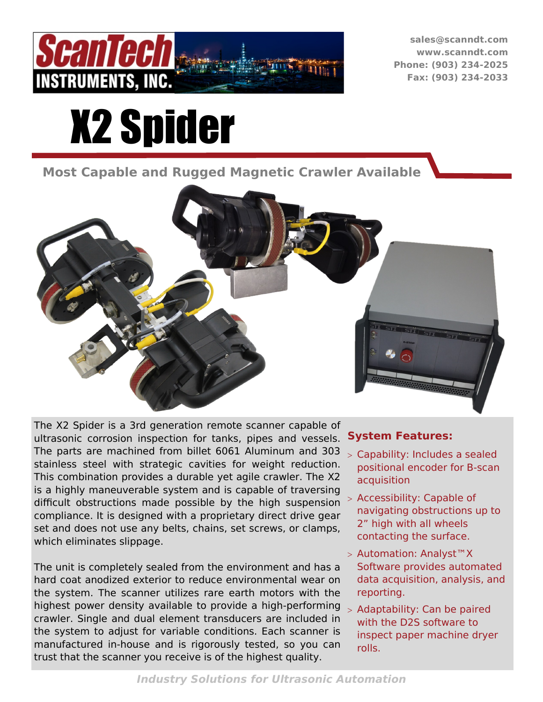

**sales@scanndt.com www.scanndt.com Phone: (903) 234-2025 Fax: (903) 234-2033**

# X2 Spider

**Most Capable and Rugged Magnetic Crawler Available**



The X2 Spider is a 3rd generation remote scanner capable of ultrasonic corrosion inspection for tanks, pipes and vessels. The parts are machined from billet 6061 Aluminum and 303 stainless steel with strategic cavities for weight reduction. This combination provides a durable yet agile crawler. The X2 is a highly maneuverable system and is capable of traversing difficult obstructions made possible by the high suspension compliance. It is designed with a proprietary direct drive gear set and does not use any belts, chains, set screws, or clamps, which eliminates slippage.

The unit is completely sealed from the environment and has a hard coat anodized exterior to reduce environmental wear on the system. The scanner utilizes rare earth motors with the highest power density available to provide a high-performing crawler. Single and dual element transducers are included in the system to adjust for variable conditions. Each scanner is manufactured in-house and is rigorously tested, so you can trust that the scanner you receive is of the highest quality.

#### **System Features:**

- Capability: Includes a sealed positional encoder for B-scan acquisition
- Accessibility: Capable of navigating obstructions up to 2" high with all wheels contacting the surface.
- > Automation: Analyst™X Software provides automated data acquisition, analysis, and reporting.
- > Adaptability: Can be paired with the D2S software to inspect paper machine dryer rolls.